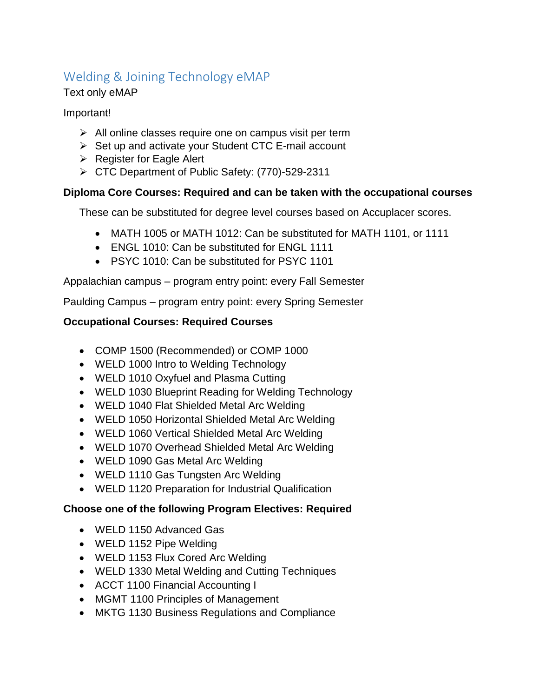# Welding & Joining Technology eMAP

#### Text only eMAP

### Important!

- $\triangleright$  All online classes require one on campus visit per term
- ➢ Set up and activate your Student CTC E-mail account
- ➢ Register for Eagle Alert
- ➢ CTC Department of Public Safety: (770)-529-2311

## **Diploma Core Courses: Required and can be taken with the occupational courses**

These can be substituted for degree level courses based on Accuplacer scores.

- MATH 1005 or MATH 1012: Can be substituted for MATH 1101, or 1111
- ENGL 1010: Can be substituted for ENGL 1111
- PSYC 1010: Can be substituted for PSYC 1101

Appalachian campus – program entry point: every Fall Semester

Paulding Campus – program entry point: every Spring Semester

## **Occupational Courses: Required Courses**

- COMP 1500 (Recommended) or COMP 1000
- WELD 1000 Intro to Welding Technology
- WELD 1010 Oxyfuel and Plasma Cutting
- WELD 1030 Blueprint Reading for Welding Technology
- WELD 1040 Flat Shielded Metal Arc Welding
- WELD 1050 Horizontal Shielded Metal Arc Welding
- WELD 1060 Vertical Shielded Metal Arc Welding
- WELD 1070 Overhead Shielded Metal Arc Welding
- WELD 1090 Gas Metal Arc Welding
- WELD 1110 Gas Tungsten Arc Welding
- WELD 1120 Preparation for Industrial Qualification

### **Choose one of the following Program Electives: Required**

- WELD 1150 Advanced Gas
- WELD 1152 Pipe Welding
- WELD 1153 Flux Cored Arc Welding
- WELD 1330 Metal Welding and Cutting Techniques
- ACCT 1100 Financial Accounting I
- MGMT 1100 Principles of Management
- MKTG 1130 Business Regulations and Compliance